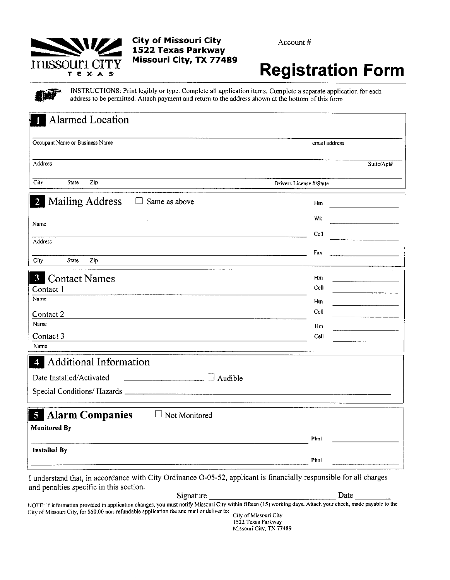# missouri CIT Y TEXAS

TT

τ

## **City of Missouri City** 1522 Texas Parkway Missouri City, TX 77489

Account#

# **Registration Form**

a a

INSTRUCTIONS: Print legibly or type. Complete all application items. Complete a separate application for each address to be permitted. Attach payment and return to the address shown at the bottom of this form

| Alarmed Location<br>1                                               |                         |
|---------------------------------------------------------------------|-------------------------|
| Occupant Name or Business Name                                      | email address           |
| Address                                                             | Suite/Apt#              |
| City<br>State<br>Zip                                                | Drivers License #/State |
| <b>Mailing Address</b><br>Same as above<br>$\overline{2}$<br>$\Box$ | Hm                      |
| Name                                                                | Wk                      |
| Address                                                             | Cell                    |
|                                                                     | Fax                     |
| City<br>State<br>Zip                                                |                         |
| <b>Contact Names</b><br>$\mathbf{3}$                                | Hm                      |
| Contact 1<br>Name                                                   | Cell                    |
|                                                                     | Hm                      |
| Contact 2                                                           | Cell                    |
| Name                                                                | Hm                      |
| Contact 3<br>Name                                                   | Cell                    |
|                                                                     |                         |
| Additional Information<br>$\boldsymbol{4}$                          |                         |
| Date Installed/Activated<br>$\Box$ Audible                          |                         |
|                                                                     |                         |
| <b>Alarm Companies</b><br>5<br>Not Monitored                        |                         |
| <b>Monitored By</b>                                                 |                         |
|                                                                     | Phn1                    |
| <b>Installed By</b>                                                 |                         |
|                                                                     | Phn!                    |

I understand that, in accordance with City Ordinance O-05-52, applicant is financially responsible for all charges and penalties specific in this section.

Signature Date NOTE: If information provided in application changes, you must notify Missouri City within fifteen (15) working days. Attach your check, made payable to the City of Missouri City, for \$50.00 non-refundable application fee and mail or deliver to: City of Missouri City

1522 Texas Parkway Missouri City, TX 77489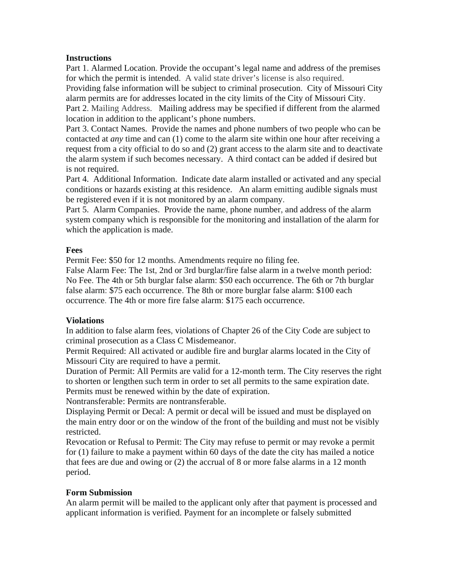#### **Instructions**

Part 1. Alarmed Location. Provide the occupant's legal name and address of the premises for which the permit is intended. A valid state driver's license is also required.

Providing false information will be subject to criminal prosecution. City of Missouri City alarm permits are for addresses located in the city limits of the City of Missouri City.

Part 2. Mailing Address. Mailing address may be specified if different from the alarmed location in addition to the applicant's phone numbers.

Part 3. Contact Names. Provide the names and phone numbers of two people who can be contacted at *any* time and can (1) come to the alarm site within one hour after receiving a request from a city official to do so and (2) grant access to the alarm site and to deactivate the alarm system if such becomes necessary. A third contact can be added if desired but is not required.

Part 4. Additional Information. Indicate date alarm installed or activated and any special conditions or hazards existing at this residence. An alarm emitting audible signals must be registered even if it is not monitored by an alarm company.

Part 5. Alarm Companies. Provide the name, phone number, and address of the alarm system company which is responsible for the monitoring and installation of the alarm for which the application is made.

#### **Fees**

Permit Fee: \$50 for 12 months. Amendments require no filing fee.

False Alarm Fee: The 1st, 2nd or 3rd burglar/fire false alarm in a twelve month period: No Fee. The 4th or 5th burglar false alarm: \$50 each occurrence. The 6th or 7th burglar false alarm: \$75 each occurrence. The 8th or more burglar false alarm: \$100 each occurrence. The 4th or more fire false alarm: \$175 each occurrence.

#### **Violations**

In addition to false alarm fees, violations of Chapter 26 of the City Code are subject to criminal prosecution as a Class C Misdemeanor.

Permit Required: All activated or audible fire and burglar alarms located in the City of Missouri City are required to have a permit.

Duration of Permit: All Permits are valid for a 12-month term. The City reserves the right to shorten or lengthen such term in order to set all permits to the same expiration date. Permits must be renewed within by the date of expiration.

Nontransferable: Permits are nontransferable.

Displaying Permit or Decal: A permit or decal will be issued and must be displayed on the main entry door or on the window of the front of the building and must not be visibly restricted.

Revocation or Refusal to Permit: The City may refuse to permit or may revoke a permit for (1) failure to make a payment within 60 days of the date the city has mailed a notice that fees are due and owing or (2) the accrual of 8 or more false alarms in a 12 month period.

#### **Form Submission**

An alarm permit will be mailed to the applicant only after that payment is processed and applicant information is verified. Payment for an incomplete or falsely submitted